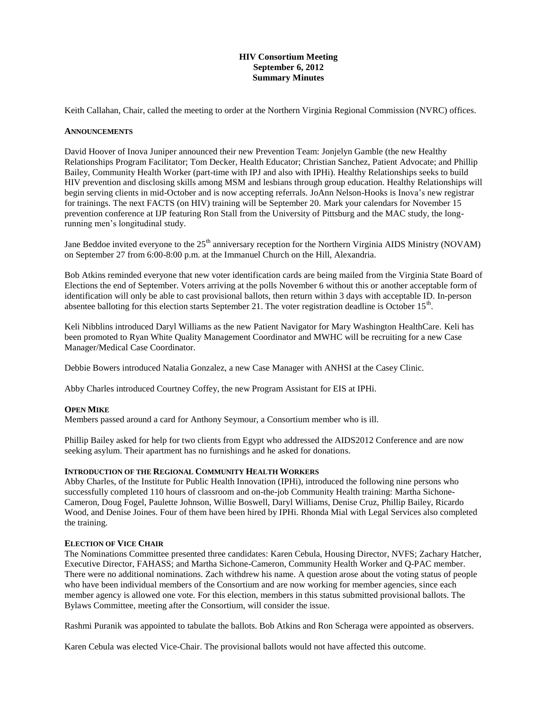# **HIV Consortium Meeting September 6, 2012 Summary Minutes**

Keith Callahan, Chair, called the meeting to order at the Northern Virginia Regional Commission (NVRC) offices.

#### **ANNOUNCEMENTS**

David Hoover of Inova Juniper announced their new Prevention Team: Jonjelyn Gamble (the new Healthy Relationships Program Facilitator; Tom Decker, Health Educator; Christian Sanchez, Patient Advocate; and Phillip Bailey, Community Health Worker (part-time with IPJ and also with IPHi). Healthy Relationships seeks to build HIV prevention and disclosing skills among MSM and lesbians through group education. Healthy Relationships will begin serving clients in mid-October and is now accepting referrals. JoAnn Nelson-Hooks is Inova's new registrar for trainings. The next FACTS (on HIV) training will be September 20. Mark your calendars for November 15 prevention conference at IJP featuring Ron Stall from the University of Pittsburg and the MAC study, the longrunning men's longitudinal study.

Jane Beddoe invited everyone to the  $25<sup>th</sup>$  anniversary reception for the Northern Virginia AIDS Ministry (NOVAM) on September 27 from 6:00-8:00 p.m. at the Immanuel Church on the Hill, Alexandria.

Bob Atkins reminded everyone that new voter identification cards are being mailed from the Virginia State Board of Elections the end of September. Voters arriving at the polls November 6 without this or another acceptable form of identification will only be able to cast provisional ballots, then return within 3 days with acceptable ID. In-person absentee balloting for this election starts September 21. The voter registration deadline is October  $15<sup>th</sup>$ .

Keli Nibblins introduced Daryl Williams as the new Patient Navigator for Mary Washington HealthCare. Keli has been promoted to Ryan White Quality Management Coordinator and MWHC will be recruiting for a new Case Manager/Medical Case Coordinator.

Debbie Bowers introduced Natalia Gonzalez, a new Case Manager with ANHSI at the Casey Clinic.

Abby Charles introduced Courtney Coffey, the new Program Assistant for EIS at IPHi.

# **OPEN MIKE**

Members passed around a card for Anthony Seymour, a Consortium member who is ill.

Phillip Bailey asked for help for two clients from Egypt who addressed the AIDS2012 Conference and are now seeking asylum. Their apartment has no furnishings and he asked for donations.

### **INTRODUCTION OF THE REGIONAL COMMUNITY HEALTH WORKERS**

Abby Charles, of the Institute for Public Health Innovation (IPHi), introduced the following nine persons who successfully completed 110 hours of classroom and on-the-job Community Health training: Martha Sichone-Cameron, Doug Fogel, Paulette Johnson, Willie Boswell, Daryl Williams, Denise Cruz, Phillip Bailey, Ricardo Wood, and Denise Joines. Four of them have been hired by IPHi. Rhonda Mial with Legal Services also completed the training.

#### **ELECTION OF VICE CHAIR**

The Nominations Committee presented three candidates: Karen Cebula, Housing Director, NVFS; Zachary Hatcher, Executive Director, FAHASS; and Martha Sichone-Cameron, Community Health Worker and Q-PAC member. There were no additional nominations. Zach withdrew his name. A question arose about the voting status of people who have been individual members of the Consortium and are now working for member agencies, since each member agency is allowed one vote. For this election, members in this status submitted provisional ballots. The Bylaws Committee, meeting after the Consortium, will consider the issue.

Rashmi Puranik was appointed to tabulate the ballots. Bob Atkins and Ron Scheraga were appointed as observers.

Karen Cebula was elected Vice-Chair. The provisional ballots would not have affected this outcome.